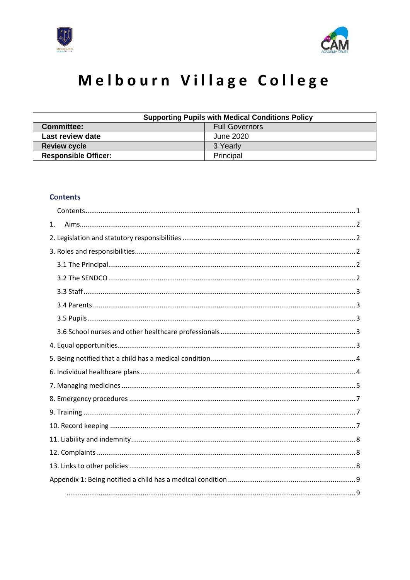



# Melbourn Village College

| <b>Supporting Pupils with Medical Conditions Policy</b> |                       |
|---------------------------------------------------------|-----------------------|
| <b>Committee:</b>                                       | <b>Full Governors</b> |
| Last review date                                        | June 2020             |
| <b>Review cycle</b>                                     | 3 Yearly              |
| <b>Responsible Officer:</b>                             | Principal             |

### <span id="page-0-0"></span>**Contents**

| 1. |
|----|
|    |
|    |
|    |
|    |
|    |
|    |
|    |
|    |
|    |
|    |
|    |
|    |
|    |
|    |
|    |
|    |
|    |
|    |
|    |
|    |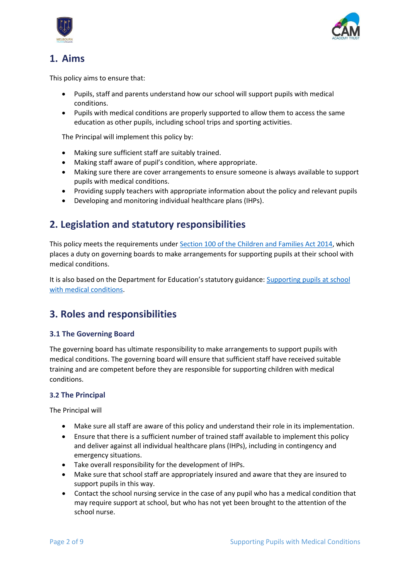



# <span id="page-1-0"></span>**1. Aims**

This policy aims to ensure that:

- Pupils, staff and parents understand how our school will support pupils with medical conditions.
- Pupils with medical conditions are properly supported to allow them to access the same education as other pupils, including school trips and sporting activities.

The Principal will implement this policy by:

- Making sure sufficient staff are suitably trained.
- Making staff aware of pupil's condition, where appropriate.
- Making sure there are cover arrangements to ensure someone is always available to support pupils with medical conditions.
- Providing supply teachers with appropriate information about the policy and relevant pupils
- Developing and monitoring individual healthcare plans (IHPs).

### <span id="page-1-1"></span>**2. Legislation and statutory responsibilities**

This policy meets the requirements under [Section 100 of the Children and Families Act 2014,](http://www.legislation.gov.uk/ukpga/2014/6/part/5/crossheading/pupils-with-medical-conditions) which places a duty on governing boards to make arrangements for supporting pupils at their school with medical conditions.

It is also based on the Department for Education's statutory guidance: [Supporting pupils at school](https://www.gov.uk/government/uploads/system/uploads/attachment_data/file/484418/supporting-pupils-at-school-with-medical-conditions.pdf)  [with medical conditions.](https://www.gov.uk/government/uploads/system/uploads/attachment_data/file/484418/supporting-pupils-at-school-with-medical-conditions.pdf)

### <span id="page-1-2"></span>**3. Roles and responsibilities**

#### <span id="page-1-3"></span>**3.1 The Governing Board**

The governing board has ultimate responsibility to make arrangements to support pupils with medical conditions. The governing board will ensure that sufficient staff have received suitable training and are competent before they are responsible for supporting children with medical conditions.

#### <span id="page-1-4"></span>**3.2 The Principal**

The Principal will

- Make sure all staff are aware of this policy and understand their role in its implementation.
- Ensure that there is a sufficient number of trained staff available to implement this policy and deliver against all individual healthcare plans (IHPs), including in contingency and emergency situations.
- Take overall responsibility for the development of IHPs.
- Make sure that school staff are appropriately insured and aware that they are insured to support pupils in this way.
- Contact the school nursing service in the case of any pupil who has a medical condition that may require support at school, but who has not yet been brought to the attention of the school nurse.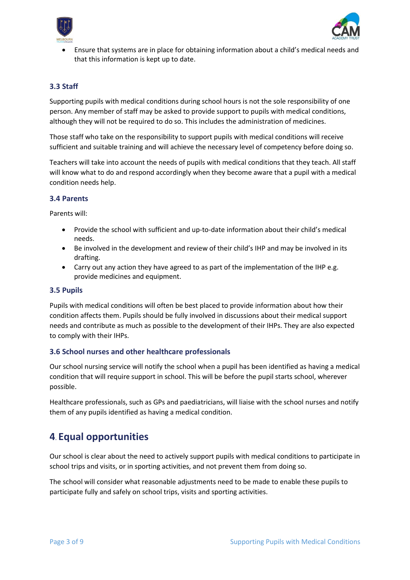



• Ensure that systems are in place for obtaining information about a child's medical needs and that this information is kept up to date.

#### <span id="page-2-0"></span>**3.3 Staff**

Supporting pupils with medical conditions during school hours is not the sole responsibility of one person. Any member of staff may be asked to provide support to pupils with medical conditions, although they will not be required to do so. This includes the administration of medicines.

Those staff who take on the responsibility to support pupils with medical conditions will receive sufficient and suitable training and will achieve the necessary level of competency before doing so.

Teachers will take into account the needs of pupils with medical conditions that they teach. All staff will know what to do and respond accordingly when they become aware that a pupil with a medical condition needs help.

#### <span id="page-2-1"></span>**3.4 Parents**

Parents will:

- Provide the school with sufficient and up-to-date information about their child's medical needs.
- Be involved in the development and review of their child's IHP and may be involved in its drafting.
- Carry out any action they have agreed to as part of the implementation of the IHP e.g. provide medicines and equipment.

#### <span id="page-2-2"></span>**3.5 Pupils**

Pupils with medical conditions will often be best placed to provide information about how their condition affects them. Pupils should be fully involved in discussions about their medical support needs and contribute as much as possible to the development of their IHPs. They are also expected to comply with their IHPs.

#### <span id="page-2-3"></span>**3.6 School nurses and other healthcare professionals**

Our school nursing service will notify the school when a pupil has been identified as having a medical condition that will require support in school. This will be before the pupil starts school, wherever possible.

Healthcare professionals, such as GPs and paediatricians, will liaise with the school nurses and notify them of any pupils identified as having a medical condition.

### <span id="page-2-4"></span>**4**. **Equal opportunities**

Our school is clear about the need to actively support pupils with medical conditions to participate in school trips and visits, or in sporting activities, and not prevent them from doing so.

The school will consider what reasonable adjustments need to be made to enable these pupils to participate fully and safely on school trips, visits and sporting activities.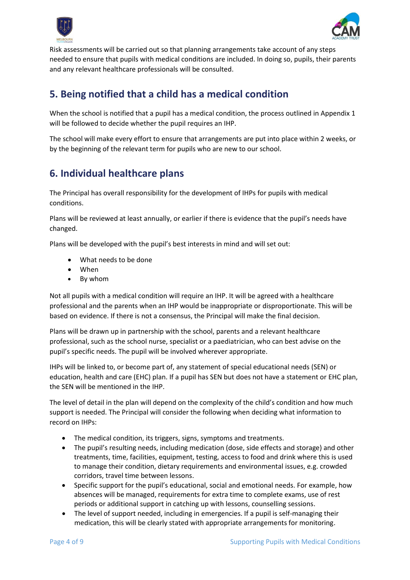



Risk assessments will be carried out so that planning arrangements take account of any steps needed to ensure that pupils with medical conditions are included. In doing so, pupils, their parents and any relevant healthcare professionals will be consulted.

### <span id="page-3-0"></span>**5. Being notified that a child has a medical condition**

When the school is notified that a pupil has a medical condition, the process outlined in Appendix 1 will be followed to decide whether the pupil requires an IHP.

The school will make every effort to ensure that arrangements are put into place within 2 weeks, or by the beginning of the relevant term for pupils who are new to our school.

# <span id="page-3-1"></span>**6. Individual healthcare plans**

The Principal has overall responsibility for the development of IHPs for pupils with medical conditions.

Plans will be reviewed at least annually, or earlier if there is evidence that the pupil's needs have changed.

Plans will be developed with the pupil's best interests in mind and will set out:

- What needs to be done
- When
- By whom

Not all pupils with a medical condition will require an IHP. It will be agreed with a healthcare professional and the parents when an IHP would be inappropriate or disproportionate. This will be based on evidence. If there is not a consensus, the Principal will make the final decision.

Plans will be drawn up in partnership with the school, parents and a relevant healthcare professional, such as the school nurse, specialist or a paediatrician, who can best advise on the pupil's specific needs. The pupil will be involved wherever appropriate.

IHPs will be linked to, or become part of, any statement of special educational needs (SEN) or education, health and care (EHC) plan. If a pupil has SEN but does not have a statement or EHC plan, the SEN will be mentioned in the IHP.

The level of detail in the plan will depend on the complexity of the child's condition and how much support is needed. The Principal will consider the following when deciding what information to record on IHPs:

- The medical condition, its triggers, signs, symptoms and treatments.
- The pupil's resulting needs, including medication (dose, side effects and storage) and other treatments, time, facilities, equipment, testing, access to food and drink where this is used to manage their condition, dietary requirements and environmental issues, e.g. crowded corridors, travel time between lessons.
- Specific support for the pupil's educational, social and emotional needs. For example, how absences will be managed, requirements for extra time to complete exams, use of rest periods or additional support in catching up with lessons, counselling sessions.
- The level of support needed, including in emergencies. If a pupil is self-managing their medication, this will be clearly stated with appropriate arrangements for monitoring.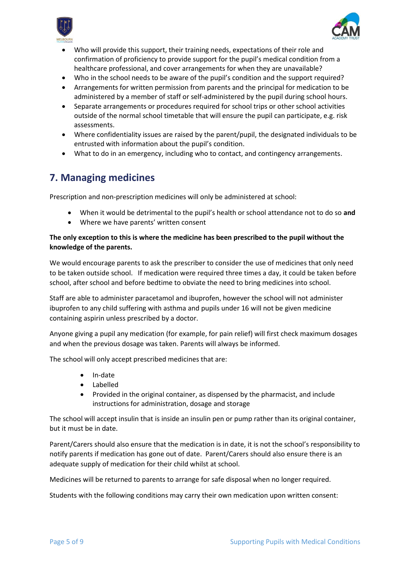



- Who will provide this support, their training needs, expectations of their role and confirmation of proficiency to provide support for the pupil's medical condition from a healthcare professional, and cover arrangements for when they are unavailable?
- Who in the school needs to be aware of the pupil's condition and the support required?
- Arrangements for written permission from parents and the principal for medication to be administered by a member of staff or self-administered by the pupil during school hours.
- Separate arrangements or procedures required for school trips or other school activities outside of the normal school timetable that will ensure the pupil can participate, e.g. risk assessments.
- Where confidentiality issues are raised by the parent/pupil, the designated individuals to be entrusted with information about the pupil's condition.
- What to do in an emergency, including who to contact, and contingency arrangements.

### <span id="page-4-0"></span>**7. Managing medicines**

Prescription and non-prescription medicines will only be administered at school:

- When it would be detrimental to the pupil's health or school attendance not to do so **and**
- Where we have parents' written consent

#### **The only exception to this is where the medicine has been prescribed to the pupil without the knowledge of the parents.**

We would encourage parents to ask the prescriber to consider the use of medicines that only need to be taken outside school. If medication were required three times a day, it could be taken before school, after school and before bedtime to obviate the need to bring medicines into school.

Staff are able to administer paracetamol and ibuprofen, however the school will not administer ibuprofen to any child suffering with asthma and pupils under 16 will not be given medicine containing aspirin unless prescribed by a doctor.

Anyone giving a pupil any medication (for example, for pain relief) will first check maximum dosages and when the previous dosage was taken. Parents will always be informed.

The school will only accept prescribed medicines that are:

- In-date
- Labelled
- Provided in the original container, as dispensed by the pharmacist, and include instructions for administration, dosage and storage

The school will accept insulin that is inside an insulin pen or pump rather than its original container, but it must be in date.

Parent/Carers should also ensure that the medication is in date, it is not the school's responsibility to notify parents if medication has gone out of date. Parent/Carers should also ensure there is an adequate supply of medication for their child whilst at school.

Medicines will be returned to parents to arrange for safe disposal when no longer required.

Students with the following conditions may carry their own medication upon written consent: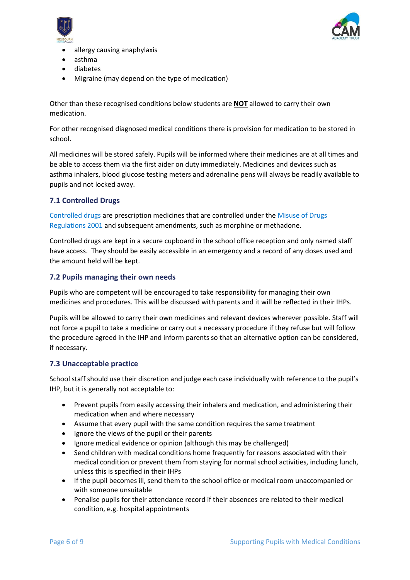



- allergy causing anaphylaxis
- asthma
- diabetes
- Migraine (may depend on the type of medication)

Other than these recognised conditions below students are **NOT** allowed to carry their own medication.

For other recognised diagnosed medical conditions there is provision for medication to be stored in school.

All medicines will be stored safely. Pupils will be informed where their medicines are at all times and be able to access them via the first aider on duty immediately. Medicines and devices such as asthma inhalers, blood glucose testing meters and adrenaline pens will always be readily available to pupils and not locked away.

#### **7.1 Controlled Drugs**

[Controlled drugs](http://www.nhs.uk/chq/Pages/1391.aspx?CategoryID=73) are prescription medicines that are controlled under the [Misuse of Drugs](http://www.legislation.gov.uk/uksi/2001/3998/schedule/1/made)  [Regulations 2001](http://www.legislation.gov.uk/uksi/2001/3998/schedule/1/made) and subsequent amendments, such as morphine or methadone.

Controlled drugs are kept in a secure cupboard in the school office reception and only named staff have access. They should be easily accessible in an emergency and a record of any doses used and the amount held will be kept.

#### **7.2 Pupils managing their own needs**

Pupils who are competent will be encouraged to take responsibility for managing their own medicines and procedures. This will be discussed with parents and it will be reflected in their IHPs.

Pupils will be allowed to carry their own medicines and relevant devices wherever possible. Staff will not force a pupil to take a medicine or carry out a necessary procedure if they refuse but will follow the procedure agreed in the IHP and inform parents so that an alternative option can be considered, if necessary.

#### **7.3 Unacceptable practice**

School staff should use their discretion and judge each case individually with reference to the pupil's IHP, but it is generally not acceptable to:

- Prevent pupils from easily accessing their inhalers and medication, and administering their medication when and where necessary
- Assume that every pupil with the same condition requires the same treatment
- Ignore the views of the pupil or their parents
- Ignore medical evidence or opinion (although this may be challenged)
- Send children with medical conditions home frequently for reasons associated with their medical condition or prevent them from staying for normal school activities, including lunch, unless this is specified in their IHPs
- If the pupil becomes ill, send them to the school office or medical room unaccompanied or with someone unsuitable
- Penalise pupils for their attendance record if their absences are related to their medical condition, e.g. hospital appointments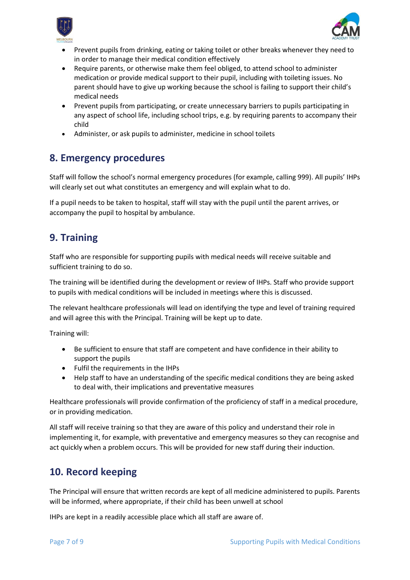



- Prevent pupils from drinking, eating or taking toilet or other breaks whenever they need to in order to manage their medical condition effectively
- Require parents, or otherwise make them feel obliged, to attend school to administer medication or provide medical support to their pupil, including with toileting issues. No parent should have to give up working because the school is failing to support their child's medical needs
- Prevent pupils from participating, or create unnecessary barriers to pupils participating in any aspect of school life, including school trips, e.g. by requiring parents to accompany their child
- Administer, or ask pupils to administer, medicine in school toilets

### <span id="page-6-0"></span>**8. Emergency procedures**

Staff will follow the school's normal emergency procedures (for example, calling 999). All pupils' IHPs will clearly set out what constitutes an emergency and will explain what to do.

If a pupil needs to be taken to hospital, staff will stay with the pupil until the parent arrives, or accompany the pupil to hospital by ambulance.

### <span id="page-6-1"></span>**9. Training**

Staff who are responsible for supporting pupils with medical needs will receive suitable and sufficient training to do so.

The training will be identified during the development or review of IHPs. Staff who provide support to pupils with medical conditions will be included in meetings where this is discussed.

The relevant healthcare professionals will lead on identifying the type and level of training required and will agree this with the Principal. Training will be kept up to date.

Training will:

- Be sufficient to ensure that staff are competent and have confidence in their ability to support the pupils
- Fulfil the requirements in the IHPs
- Help staff to have an understanding of the specific medical conditions they are being asked to deal with, their implications and preventative measures

Healthcare professionals will provide confirmation of the proficiency of staff in a medical procedure, or in providing medication.

All staff will receive training so that they are aware of this policy and understand their role in implementing it, for example, with preventative and emergency measures so they can recognise and act quickly when a problem occurs. This will be provided for new staff during their induction.

### <span id="page-6-2"></span>**10. Record keeping**

The Principal will ensure that written records are kept of all medicine administered to pupils. Parents will be informed, where appropriate, if their child has been unwell at school

IHPs are kept in a readily accessible place which all staff are aware of.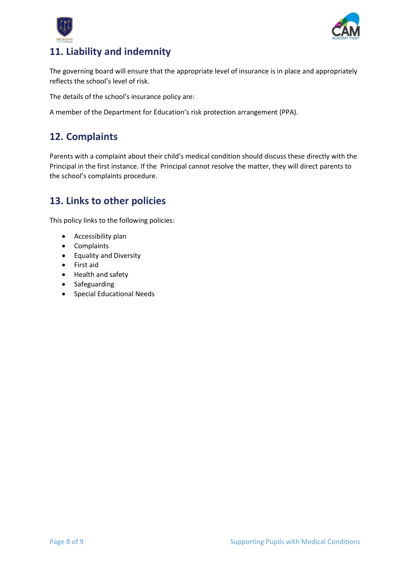



# <span id="page-7-0"></span>**11. Liability and indemnity**

The governing board will ensure that the appropriate level of insurance is in place and appropriately reflects the school's level of risk.

The details of the school's insurance policy are:

A member of the Department for Education's risk protection arrangement (PPA).

### <span id="page-7-1"></span>**12. Complaints**

Parents with a complaint about their child's medical condition should discuss these directly with the Principal in the first instance. If the Principal cannot resolve the matter, they will direct parents to the school's complaints procedure.

### <span id="page-7-2"></span>**13. Links to other policies**

This policy links to the following policies:

- Accessibility plan
- Complaints
- Equality and Diversity
- First aid
- Health and safety
- Safeguarding
- Special Educational Needs